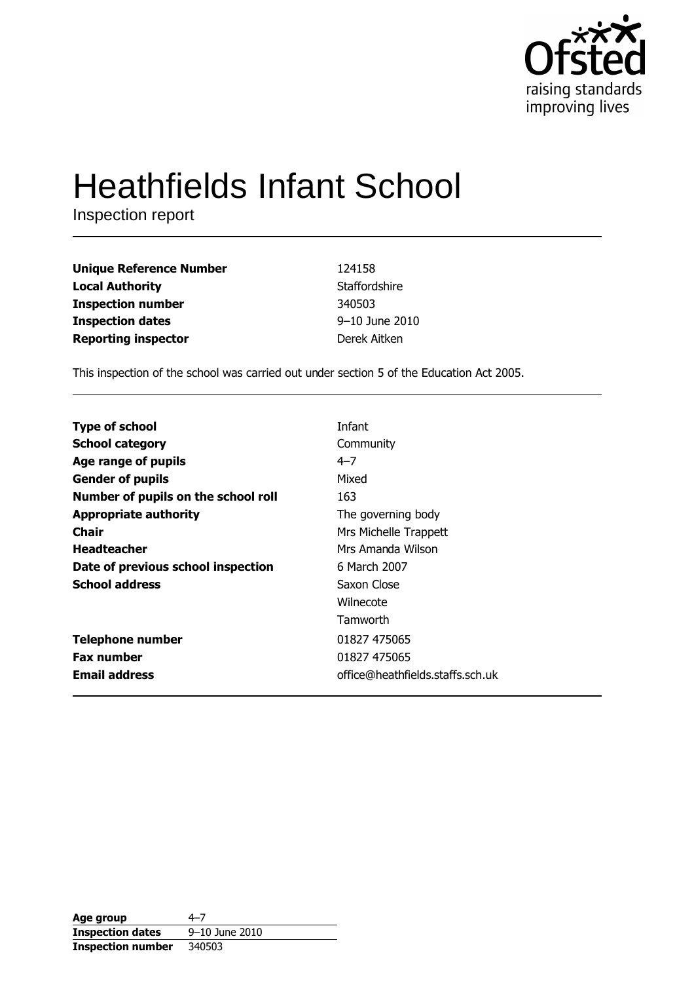

# **Heathfields Infant School**

Inspection report

| <b>Unique Reference Number</b> | 124158         |
|--------------------------------|----------------|
| <b>Local Authority</b>         | Staffordshire  |
| <b>Inspection number</b>       | 340503         |
| <b>Inspection dates</b>        | 9-10 June 2010 |
| <b>Reporting inspector</b>     | Derek Aitken   |

This inspection of the school was carried out under section 5 of the Education Act 2005.

| <b>Type of school</b>               | Infant                           |
|-------------------------------------|----------------------------------|
|                                     |                                  |
| <b>School category</b>              | Community                        |
| Age range of pupils                 | $4 - 7$                          |
| <b>Gender of pupils</b>             | Mixed                            |
| Number of pupils on the school roll | 163                              |
| <b>Appropriate authority</b>        | The governing body               |
| Chair                               | Mrs Michelle Trappett            |
| <b>Headteacher</b>                  | Mrs Amanda Wilson                |
| Date of previous school inspection  | 6 March 2007                     |
| <b>School address</b>               | Saxon Close                      |
|                                     | Wilnecote                        |
|                                     | Tamworth                         |
| <b>Telephone number</b>             | 01827 475065                     |
| <b>Fax number</b>                   | 01827 475065                     |
| <b>Email address</b>                | office@heathfields.staffs.sch.uk |

| Age group                | 4–7            |
|--------------------------|----------------|
| <b>Inspection dates</b>  | 9-10 June 2010 |
| <b>Inspection number</b> | 340503         |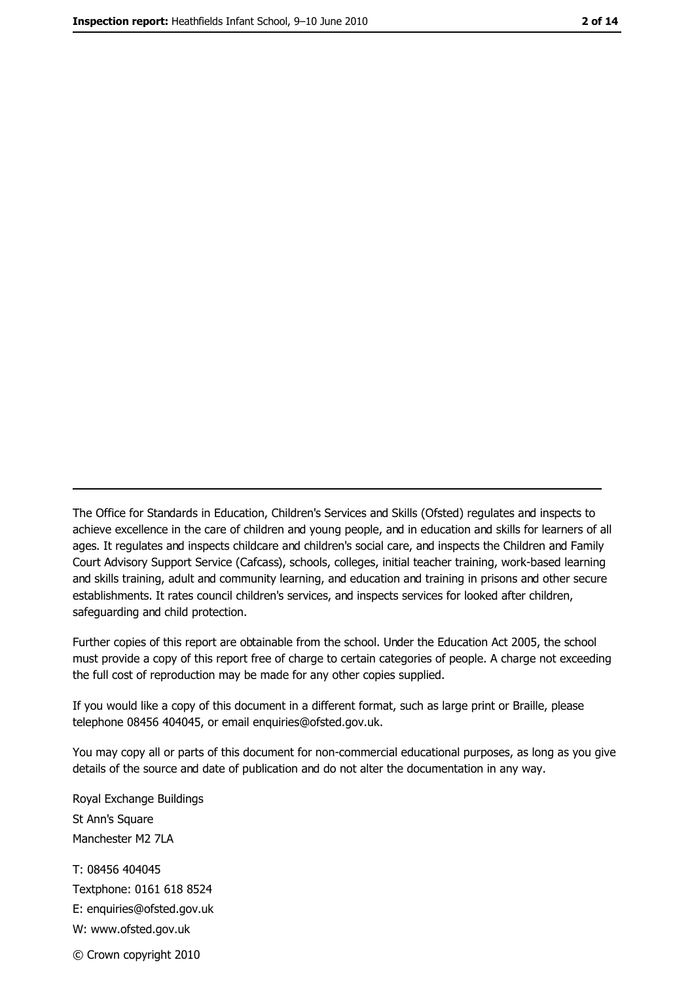The Office for Standards in Education, Children's Services and Skills (Ofsted) regulates and inspects to achieve excellence in the care of children and young people, and in education and skills for learners of all ages. It regulates and inspects childcare and children's social care, and inspects the Children and Family Court Advisory Support Service (Cafcass), schools, colleges, initial teacher training, work-based learning and skills training, adult and community learning, and education and training in prisons and other secure establishments. It rates council children's services, and inspects services for looked after children, safequarding and child protection.

Further copies of this report are obtainable from the school. Under the Education Act 2005, the school must provide a copy of this report free of charge to certain categories of people. A charge not exceeding the full cost of reproduction may be made for any other copies supplied.

If you would like a copy of this document in a different format, such as large print or Braille, please telephone 08456 404045, or email enquiries@ofsted.gov.uk.

You may copy all or parts of this document for non-commercial educational purposes, as long as you give details of the source and date of publication and do not alter the documentation in any way.

Royal Exchange Buildings St Ann's Square Manchester M2 7LA T: 08456 404045 Textphone: 0161 618 8524 E: enquiries@ofsted.gov.uk W: www.ofsted.gov.uk © Crown copyright 2010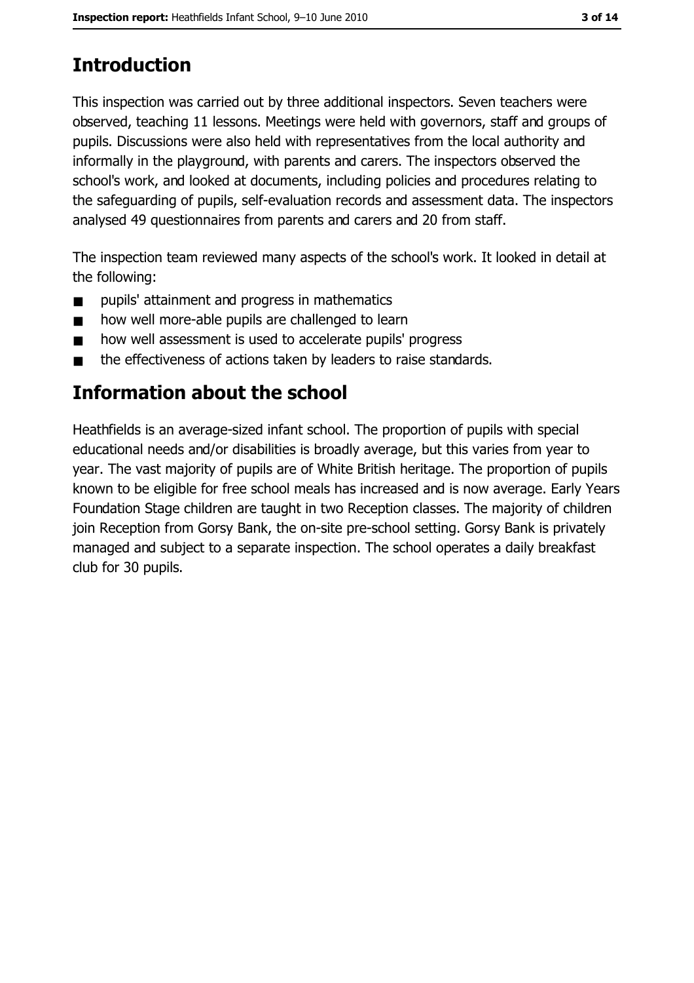# **Introduction**

This inspection was carried out by three additional inspectors. Seven teachers were observed, teaching 11 lessons. Meetings were held with governors, staff and groups of pupils. Discussions were also held with representatives from the local authority and informally in the playground, with parents and carers. The inspectors observed the school's work, and looked at documents, including policies and procedures relating to the safeguarding of pupils, self-evaluation records and assessment data. The inspectors analysed 49 questionnaires from parents and carers and 20 from staff.

The inspection team reviewed many aspects of the school's work. It looked in detail at the following:

- pupils' attainment and progress in mathematics  $\blacksquare$
- how well more-able pupils are challenged to learn  $\blacksquare$
- how well assessment is used to accelerate pupils' progress  $\blacksquare$
- the effectiveness of actions taken by leaders to raise standards.  $\blacksquare$

# Information about the school

Heathfields is an average-sized infant school. The proportion of pupils with special educational needs and/or disabilities is broadly average, but this varies from year to year. The vast majority of pupils are of White British heritage. The proportion of pupils known to be eligible for free school meals has increased and is now average. Early Years Foundation Stage children are taught in two Reception classes. The majority of children join Reception from Gorsy Bank, the on-site pre-school setting. Gorsy Bank is privately managed and subject to a separate inspection. The school operates a daily breakfast club for 30 pupils.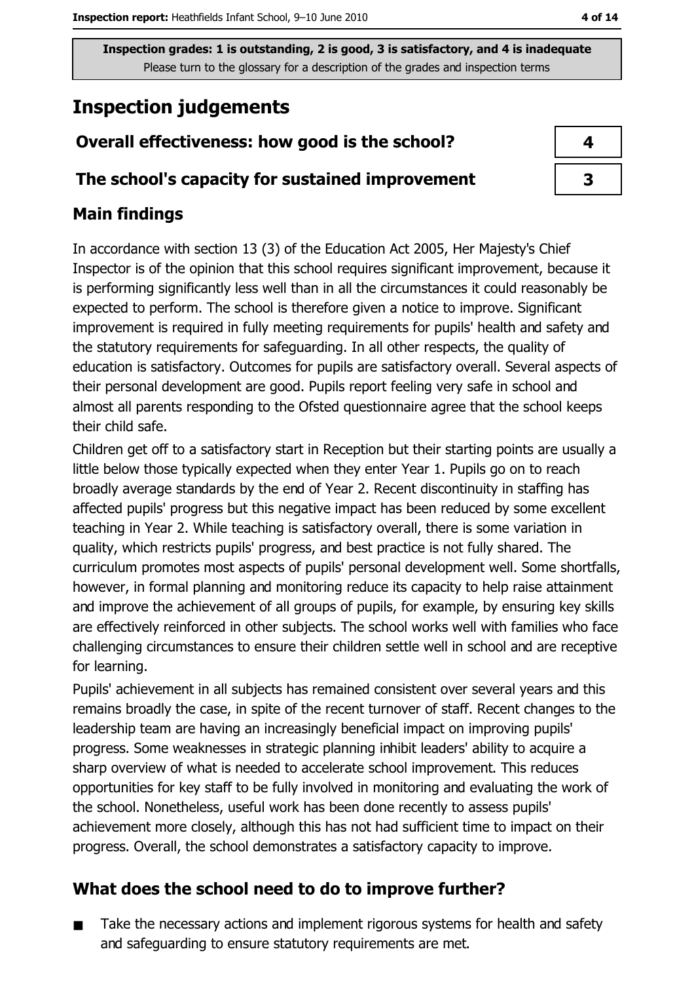# **Inspection judgements**

## Overall effectiveness: how good is the school?

#### The school's capacity for sustained improvement

## **Main findings**

In accordance with section 13 (3) of the Education Act 2005, Her Majesty's Chief Inspector is of the opinion that this school requires significant improvement, because it is performing significantly less well than in all the circumstances it could reasonably be expected to perform. The school is therefore given a notice to improve. Significant improvement is required in fully meeting requirements for pupils' health and safety and the statutory requirements for safeguarding. In all other respects, the quality of education is satisfactory. Outcomes for pupils are satisfactory overall. Several aspects of their personal development are good. Pupils report feeling very safe in school and almost all parents responding to the Ofsted questionnaire agree that the school keeps their child safe.

Children get off to a satisfactory start in Reception but their starting points are usually a little below those typically expected when they enter Year 1. Pupils go on to reach broadly average standards by the end of Year 2. Recent discontinuity in staffing has affected pupils' progress but this negative impact has been reduced by some excellent teaching in Year 2. While teaching is satisfactory overall, there is some variation in quality, which restricts pupils' progress, and best practice is not fully shared. The curriculum promotes most aspects of pupils' personal development well. Some shortfalls, however, in formal planning and monitoring reduce its capacity to help raise attainment and improve the achievement of all groups of pupils, for example, by ensuring key skills are effectively reinforced in other subjects. The school works well with families who face challenging circumstances to ensure their children settle well in school and are receptive for learning.

Pupils' achievement in all subjects has remained consistent over several years and this remains broadly the case, in spite of the recent turnover of staff. Recent changes to the leadership team are having an increasingly beneficial impact on improving pupils' progress. Some weaknesses in strategic planning inhibit leaders' ability to acquire a sharp overview of what is needed to accelerate school improvement. This reduces opportunities for key staff to be fully involved in monitoring and evaluating the work of the school. Nonetheless, useful work has been done recently to assess pupils' achievement more closely, although this has not had sufficient time to impact on their progress. Overall, the school demonstrates a satisfactory capacity to improve.

## What does the school need to do to improve further?

Take the necessary actions and implement rigorous systems for health and safety  $\blacksquare$ and safequarding to ensure statutory requirements are met.

 $\overline{\mathbf{3}}$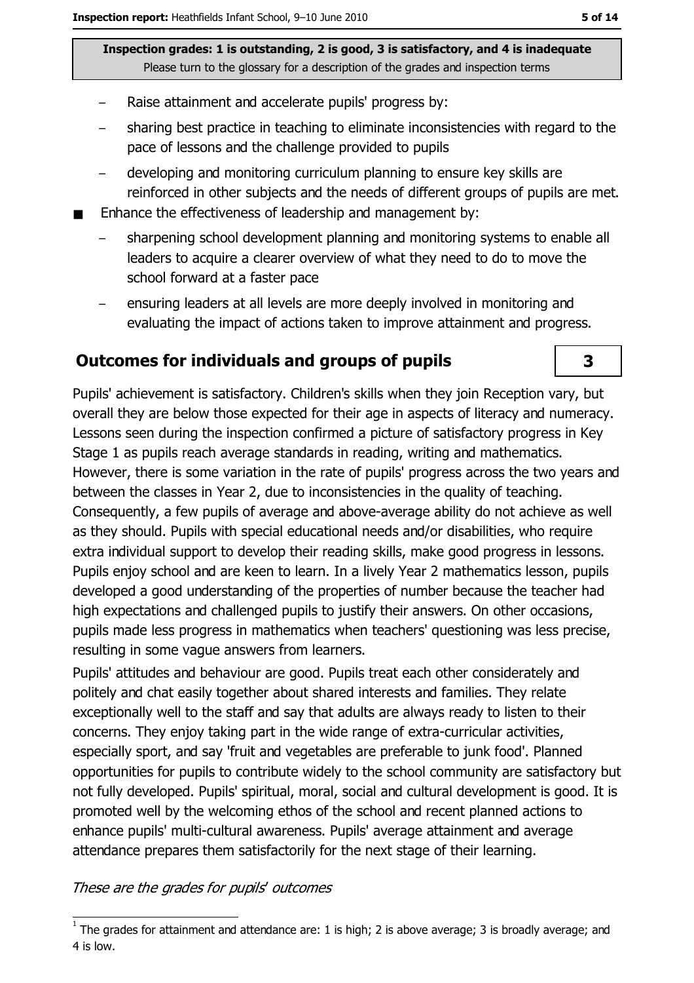- Raise attainment and accelerate pupils' progress by:
- sharing best practice in teaching to eliminate inconsistencies with regard to the pace of lessons and the challenge provided to pupils
- developing and monitoring curriculum planning to ensure key skills are reinforced in other subjects and the needs of different groups of pupils are met.
- Enhance the effectiveness of leadership and management by:
	- sharpening school development planning and monitoring systems to enable all leaders to acquire a clearer overview of what they need to do to move the school forward at a faster pace
	- ensuring leaders at all levels are more deeply involved in monitoring and evaluating the impact of actions taken to improve attainment and progress.

#### **Outcomes for individuals and groups of pupils**

Pupils' achievement is satisfactory. Children's skills when they join Reception vary, but overall they are below those expected for their age in aspects of literacy and numeracy. Lessons seen during the inspection confirmed a picture of satisfactory progress in Key Stage 1 as pupils reach average standards in reading, writing and mathematics. However, there is some variation in the rate of pupils' progress across the two years and between the classes in Year 2, due to inconsistencies in the quality of teaching. Consequently, a few pupils of average and above-average ability do not achieve as well as they should. Pupils with special educational needs and/or disabilities, who require extra individual support to develop their reading skills, make good progress in lessons. Pupils enjoy school and are keen to learn. In a lively Year 2 mathematics lesson, pupils developed a good understanding of the properties of number because the teacher had high expectations and challenged pupils to justify their answers. On other occasions, pupils made less progress in mathematics when teachers' questioning was less precise, resulting in some vague answers from learners.

Pupils' attitudes and behaviour are good. Pupils treat each other considerately and politely and chat easily together about shared interests and families. They relate exceptionally well to the staff and say that adults are always ready to listen to their concerns. They enjoy taking part in the wide range of extra-curricular activities, especially sport, and say 'fruit and vegetables are preferable to junk food'. Planned opportunities for pupils to contribute widely to the school community are satisfactory but not fully developed. Pupils' spiritual, moral, social and cultural development is good. It is promoted well by the welcoming ethos of the school and recent planned actions to enhance pupils' multi-cultural awareness. Pupils' average attainment and average attendance prepares them satisfactorily for the next stage of their learning.

These are the grades for pupils' outcomes

3

 $\overline{1}$  The grades for attainment and attendance are: 1 is high; 2 is above average; 3 is broadly average; and 4 is low.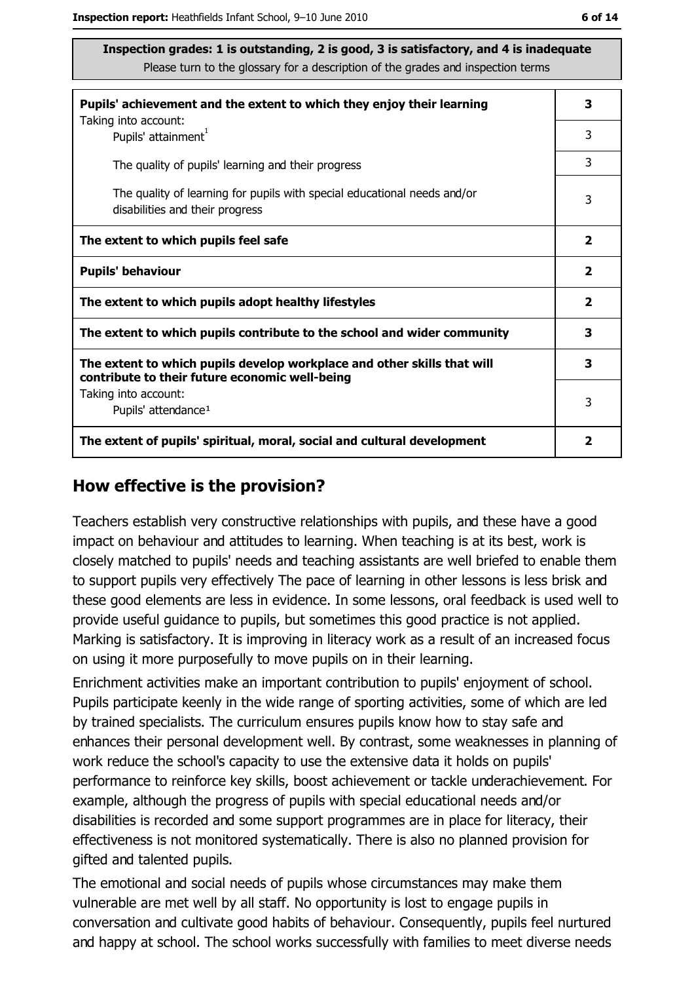| Pupils' achievement and the extent to which they enjoy their learning                                                     |                         |  |
|---------------------------------------------------------------------------------------------------------------------------|-------------------------|--|
| Taking into account:<br>Pupils' attainment <sup>1</sup>                                                                   | 3                       |  |
| The quality of pupils' learning and their progress                                                                        | 3                       |  |
| The quality of learning for pupils with special educational needs and/or<br>disabilities and their progress               | 3                       |  |
| The extent to which pupils feel safe                                                                                      | $\overline{\mathbf{2}}$ |  |
| <b>Pupils' behaviour</b>                                                                                                  | $\overline{\mathbf{2}}$ |  |
| The extent to which pupils adopt healthy lifestyles                                                                       | $\overline{\mathbf{2}}$ |  |
| The extent to which pupils contribute to the school and wider community                                                   |                         |  |
| The extent to which pupils develop workplace and other skills that will<br>contribute to their future economic well-being | 3                       |  |
| Taking into account:<br>Pupils' attendance <sup>1</sup>                                                                   | 3                       |  |
| The extent of pupils' spiritual, moral, social and cultural development                                                   |                         |  |

#### How effective is the provision?

Teachers establish very constructive relationships with pupils, and these have a good impact on behaviour and attitudes to learning. When teaching is at its best, work is closely matched to pupils' needs and teaching assistants are well briefed to enable them to support pupils very effectively The pace of learning in other lessons is less brisk and these good elements are less in evidence. In some lessons, oral feedback is used well to provide useful quidance to pupils, but sometimes this good practice is not applied. Marking is satisfactory. It is improving in literacy work as a result of an increased focus on using it more purposefully to move pupils on in their learning.

Enrichment activities make an important contribution to pupils' enjoyment of school. Pupils participate keenly in the wide range of sporting activities, some of which are led by trained specialists. The curriculum ensures pupils know how to stay safe and enhances their personal development well. By contrast, some weaknesses in planning of work reduce the school's capacity to use the extensive data it holds on pupils' performance to reinforce key skills, boost achievement or tackle underachievement. For example, although the progress of pupils with special educational needs and/or disabilities is recorded and some support programmes are in place for literacy, their effectiveness is not monitored systematically. There is also no planned provision for gifted and talented pupils.

The emotional and social needs of pupils whose circumstances may make them vulnerable are met well by all staff. No opportunity is lost to engage pupils in conversation and cultivate good habits of behaviour. Consequently, pupils feel nurtured and happy at school. The school works successfully with families to meet diverse needs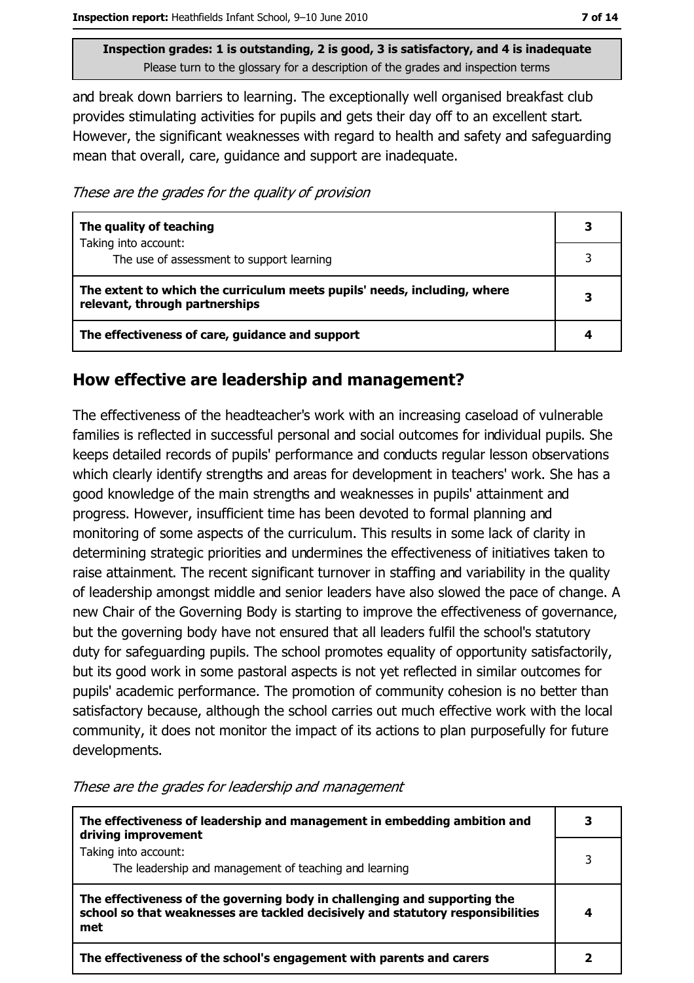and break down barriers to learning. The exceptionally well organised breakfast club provides stimulating activities for pupils and gets their day off to an excellent start. However, the significant weaknesses with regard to health and safety and safeguarding mean that overall, care, guidance and support are inadequate.

These are the grades for the quality of provision

| The quality of teaching                                                                                    | 3 |
|------------------------------------------------------------------------------------------------------------|---|
| Taking into account:<br>The use of assessment to support learning                                          | 3 |
| The extent to which the curriculum meets pupils' needs, including, where<br>relevant, through partnerships |   |
| The effectiveness of care, guidance and support                                                            |   |

#### How effective are leadership and management?

The effectiveness of the headteacher's work with an increasing caseload of vulnerable families is reflected in successful personal and social outcomes for individual pupils. She keeps detailed records of pupils' performance and conducts regular lesson observations which clearly identify strengths and areas for development in teachers' work. She has a good knowledge of the main strengths and weaknesses in pupils' attainment and progress. However, insufficient time has been devoted to formal planning and monitoring of some aspects of the curriculum. This results in some lack of clarity in determining strategic priorities and undermines the effectiveness of initiatives taken to raise attainment. The recent significant turnover in staffing and variability in the quality of leadership amongst middle and senior leaders have also slowed the pace of change. A new Chair of the Governing Body is starting to improve the effectiveness of governance, but the governing body have not ensured that all leaders fulfil the school's statutory duty for safeguarding pupils. The school promotes equality of opportunity satisfactorily, but its good work in some pastoral aspects is not yet reflected in similar outcomes for pupils' academic performance. The promotion of community cohesion is no better than satisfactory because, although the school carries out much effective work with the local community, it does not monitor the impact of its actions to plan purposefully for future developments.

These are the grades for leadership and management

| The effectiveness of leadership and management in embedding ambition and<br>driving improvement                                                                     |  |
|---------------------------------------------------------------------------------------------------------------------------------------------------------------------|--|
| Taking into account:<br>The leadership and management of teaching and learning                                                                                      |  |
| The effectiveness of the governing body in challenging and supporting the<br>school so that weaknesses are tackled decisively and statutory responsibilities<br>met |  |
| The effectiveness of the school's engagement with parents and carers                                                                                                |  |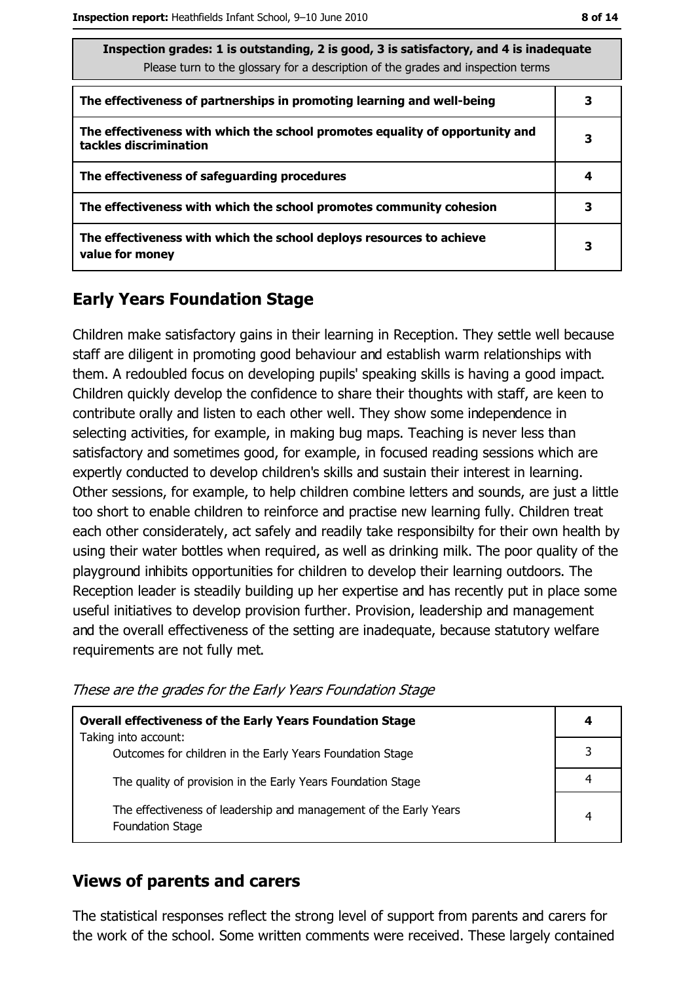| M.<br>۰. | ۰. |  |
|----------|----|--|
|----------|----|--|

| Inspection grades: 1 is outstanding, 2 is good, 3 is satisfactory, and 4 is inadequate<br>Please turn to the glossary for a description of the grades and inspection terms |   |  |
|----------------------------------------------------------------------------------------------------------------------------------------------------------------------------|---|--|
| The effectiveness of partnerships in promoting learning and well-being                                                                                                     | 3 |  |
| The effectiveness with which the school promotes equality of opportunity and<br>tackles discrimination                                                                     | 3 |  |
| The effectiveness of safeguarding procedures                                                                                                                               | 4 |  |
| The effectiveness with which the school promotes community cohesion                                                                                                        | 3 |  |
| The effectiveness with which the school deploys resources to achieve<br>value for money                                                                                    | З |  |

## **Early Years Foundation Stage**

Children make satisfactory gains in their learning in Reception. They settle well because staff are diligent in promoting good behaviour and establish warm relationships with them. A redoubled focus on developing pupils' speaking skills is having a good impact. Children quickly develop the confidence to share their thoughts with staff, are keen to contribute orally and listen to each other well. They show some independence in selecting activities, for example, in making bug maps. Teaching is never less than satisfactory and sometimes good, for example, in focused reading sessions which are expertly conducted to develop children's skills and sustain their interest in learning. Other sessions, for example, to help children combine letters and sounds, are just a little too short to enable children to reinforce and practise new learning fully. Children treat each other considerately, act safely and readily take responsibilty for their own health by using their water bottles when required, as well as drinking milk. The poor quality of the playground inhibits opportunities for children to develop their learning outdoors. The Reception leader is steadily building up her expertise and has recently put in place some useful initiatives to develop provision further. Provision, leadership and management and the overall effectiveness of the setting are inadequate, because statutory welfare requirements are not fully met.

| <b>Overall effectiveness of the Early Years Foundation Stage</b><br>Taking into account: | 4 |
|------------------------------------------------------------------------------------------|---|
| Outcomes for children in the Early Years Foundation Stage                                |   |
| The quality of provision in the Early Years Foundation Stage                             |   |
| The effectiveness of leadership and management of the Early Years<br>Foundation Stage    | 4 |

These are the grades for the Early Years Foundation Stage

#### **Views of parents and carers**

The statistical responses reflect the strong level of support from parents and carers for the work of the school. Some written comments were received. These largely contained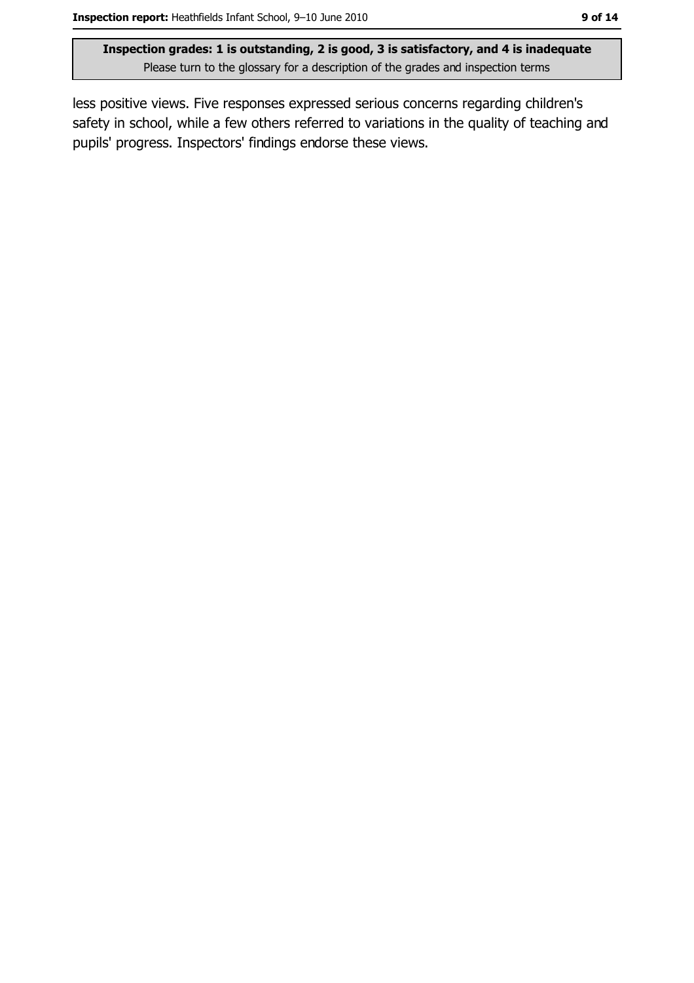less positive views. Five responses expressed serious concerns regarding children's safety in school, while a few others referred to variations in the quality of teaching and pupils' progress. Inspectors' findings endorse these views.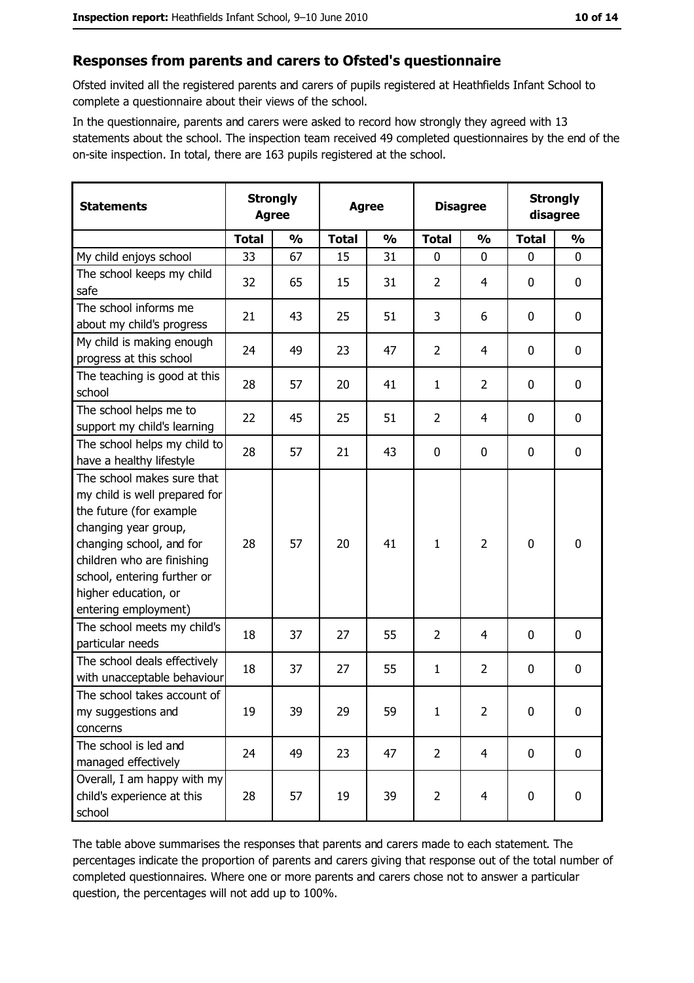#### Responses from parents and carers to Ofsted's questionnaire

Ofsted invited all the registered parents and carers of pupils registered at Heathfields Infant School to complete a questionnaire about their views of the school.

In the questionnaire, parents and carers were asked to record how strongly they agreed with 13 statements about the school. The inspection team received 49 completed questionnaires by the end of the on-site inspection. In total, there are 163 pupils registered at the school.

| <b>Statements</b>                                                                                                                                                                                                                                       | <b>Strongly</b><br><b>Agree</b><br><b>Agree</b> |               | <b>Disagree</b> |               | <b>Strongly</b><br>disagree |                |              |               |
|---------------------------------------------------------------------------------------------------------------------------------------------------------------------------------------------------------------------------------------------------------|-------------------------------------------------|---------------|-----------------|---------------|-----------------------------|----------------|--------------|---------------|
|                                                                                                                                                                                                                                                         | <b>Total</b>                                    | $\frac{0}{0}$ | <b>Total</b>    | $\frac{0}{0}$ | <b>Total</b>                | $\frac{0}{0}$  | <b>Total</b> | $\frac{0}{0}$ |
| My child enjoys school                                                                                                                                                                                                                                  | 33                                              | 67            | 15              | 31            | $\mathbf 0$                 | 0              | $\mathbf{0}$ | 0             |
| The school keeps my child<br>safe                                                                                                                                                                                                                       | 32                                              | 65            | 15              | 31            | $\overline{2}$              | 4              | $\mathbf{0}$ | 0             |
| The school informs me<br>about my child's progress                                                                                                                                                                                                      | 21                                              | 43            | 25              | 51            | 3                           | 6              | $\mathbf 0$  | 0             |
| My child is making enough<br>progress at this school                                                                                                                                                                                                    | 24                                              | 49            | 23              | 47            | $\overline{2}$              | 4              | $\mathbf 0$  | 0             |
| The teaching is good at this<br>school                                                                                                                                                                                                                  | 28                                              | 57            | 20              | 41            | $\mathbf{1}$                | $\overline{2}$ | $\mathbf 0$  | 0             |
| The school helps me to<br>support my child's learning                                                                                                                                                                                                   | 22                                              | 45            | 25              | 51            | $\overline{2}$              | 4              | $\mathbf 0$  | 0             |
| The school helps my child to<br>have a healthy lifestyle                                                                                                                                                                                                | 28                                              | 57            | 21              | 43            | $\mathbf 0$                 | 0              | 0            | 0             |
| The school makes sure that<br>my child is well prepared for<br>the future (for example<br>changing year group,<br>changing school, and for<br>children who are finishing<br>school, entering further or<br>higher education, or<br>entering employment) | 28                                              | 57            | 20              | 41            | $\mathbf{1}$                | $\overline{2}$ | 0            | 0             |
| The school meets my child's<br>particular needs                                                                                                                                                                                                         | 18                                              | 37            | 27              | 55            | $\overline{2}$              | 4              | 0            | 0             |
| The school deals effectively<br>with unacceptable behaviour                                                                                                                                                                                             | 18                                              | 37            | 27              | 55            | $\mathbf{1}$                | $\overline{2}$ | $\mathbf 0$  | 0             |
| The school takes account of<br>my suggestions and<br>concerns                                                                                                                                                                                           | 19                                              | 39            | 29              | 59            | $\mathbf{1}$                | 2              | 0            | 0             |
| The school is led and<br>managed effectively                                                                                                                                                                                                            | 24                                              | 49            | 23              | 47            | $\overline{2}$              | 4              | $\bf{0}$     | 0             |
| Overall, I am happy with my<br>child's experience at this<br>school                                                                                                                                                                                     | 28                                              | 57            | 19              | 39            | $\overline{2}$              | $\overline{4}$ | $\mathbf 0$  | 0             |

The table above summarises the responses that parents and carers made to each statement. The percentages indicate the proportion of parents and carers giving that response out of the total number of completed questionnaires. Where one or more parents and carers chose not to answer a particular question, the percentages will not add up to 100%.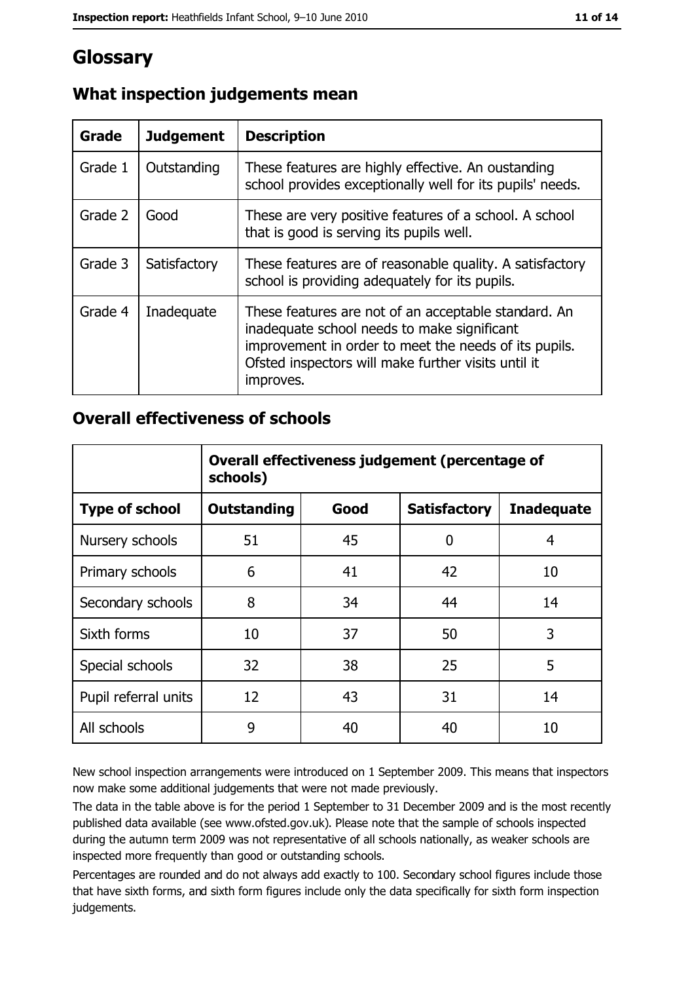# Glossary

| Grade   | <b>Judgement</b> | <b>Description</b>                                                                                                                                                                                                               |
|---------|------------------|----------------------------------------------------------------------------------------------------------------------------------------------------------------------------------------------------------------------------------|
| Grade 1 | Outstanding      | These features are highly effective. An oustanding<br>school provides exceptionally well for its pupils' needs.                                                                                                                  |
| Grade 2 | Good             | These are very positive features of a school. A school<br>that is good is serving its pupils well.                                                                                                                               |
| Grade 3 | Satisfactory     | These features are of reasonable quality. A satisfactory<br>school is providing adequately for its pupils.                                                                                                                       |
| Grade 4 | Inadequate       | These features are not of an acceptable standard. An<br>inadequate school needs to make significant<br>improvement in order to meet the needs of its pupils.<br>Ofsted inspectors will make further visits until it<br>improves. |

## What inspection judgements mean

### **Overall effectiveness of schools**

|                       | Overall effectiveness judgement (percentage of<br>schools) |      |                     |                   |
|-----------------------|------------------------------------------------------------|------|---------------------|-------------------|
| <b>Type of school</b> | <b>Outstanding</b>                                         | Good | <b>Satisfactory</b> | <b>Inadequate</b> |
| Nursery schools       | 51                                                         | 45   | 0                   | 4                 |
| Primary schools       | 6                                                          | 41   | 42                  | 10                |
| Secondary schools     | 8                                                          | 34   | 44                  | 14                |
| Sixth forms           | 10                                                         | 37   | 50                  | 3                 |
| Special schools       | 32                                                         | 38   | 25                  | 5                 |
| Pupil referral units  | 12                                                         | 43   | 31                  | 14                |
| All schools           | 9                                                          | 40   | 40                  | 10                |

New school inspection arrangements were introduced on 1 September 2009. This means that inspectors now make some additional judgements that were not made previously.

The data in the table above is for the period 1 September to 31 December 2009 and is the most recently published data available (see www.ofsted.gov.uk). Please note that the sample of schools inspected during the autumn term 2009 was not representative of all schools nationally, as weaker schools are inspected more frequently than good or outstanding schools.

Percentages are rounded and do not always add exactly to 100. Secondary school figures include those that have sixth forms, and sixth form figures include only the data specifically for sixth form inspection judgements.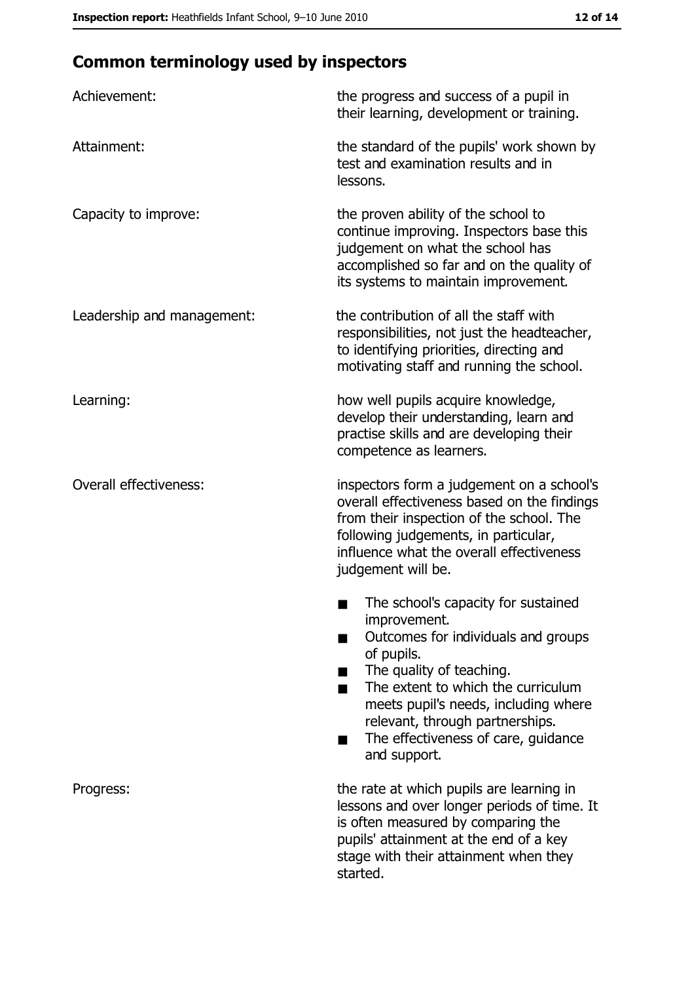# **Common terminology used by inspectors**

| Achievement:                  | the progress and success of a pupil in<br>their learning, development or training.                                                                                                                                                                                                                           |
|-------------------------------|--------------------------------------------------------------------------------------------------------------------------------------------------------------------------------------------------------------------------------------------------------------------------------------------------------------|
| Attainment:                   | the standard of the pupils' work shown by<br>test and examination results and in<br>lessons.                                                                                                                                                                                                                 |
| Capacity to improve:          | the proven ability of the school to<br>continue improving. Inspectors base this<br>judgement on what the school has<br>accomplished so far and on the quality of<br>its systems to maintain improvement.                                                                                                     |
| Leadership and management:    | the contribution of all the staff with<br>responsibilities, not just the headteacher,<br>to identifying priorities, directing and<br>motivating staff and running the school.                                                                                                                                |
| Learning:                     | how well pupils acquire knowledge,<br>develop their understanding, learn and<br>practise skills and are developing their<br>competence as learners.                                                                                                                                                          |
| <b>Overall effectiveness:</b> | inspectors form a judgement on a school's<br>overall effectiveness based on the findings<br>from their inspection of the school. The<br>following judgements, in particular,<br>influence what the overall effectiveness<br>judgement will be.                                                               |
|                               | The school's capacity for sustained<br>improvement.<br>Outcomes for individuals and groups<br>of pupils.<br>The quality of teaching.<br>The extent to which the curriculum<br>meets pupil's needs, including where<br>relevant, through partnerships.<br>The effectiveness of care, guidance<br>and support. |
| Progress:                     | the rate at which pupils are learning in<br>lessons and over longer periods of time. It<br>is often measured by comparing the<br>pupils' attainment at the end of a key<br>stage with their attainment when they<br>started.                                                                                 |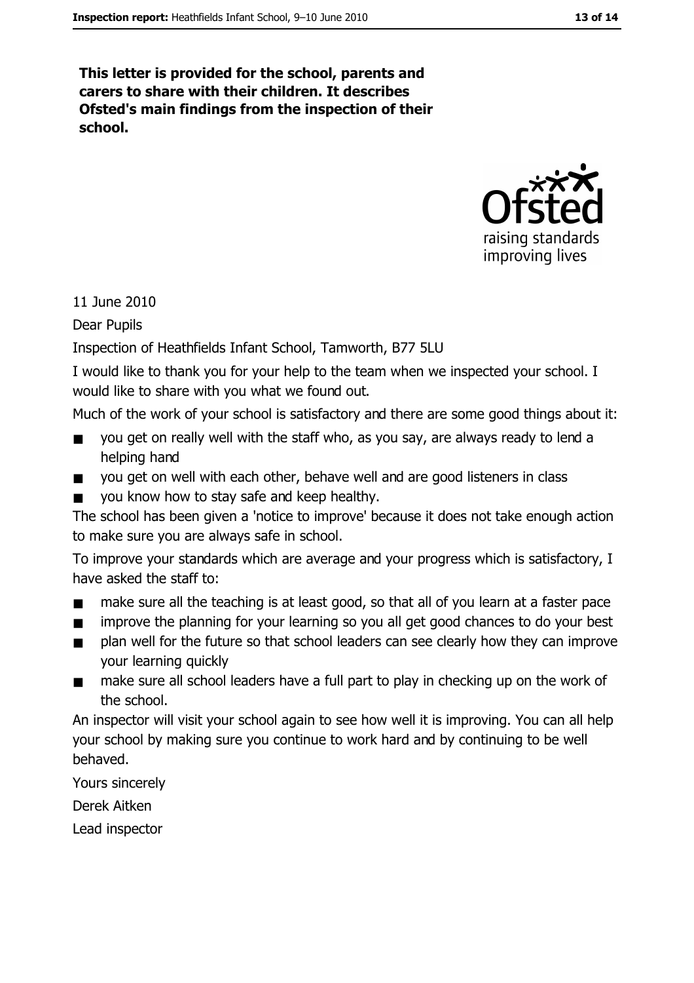This letter is provided for the school, parents and carers to share with their children. It describes Ofsted's main findings from the inspection of their school.



11 June 2010

**Dear Pupils** 

Inspection of Heathfields Infant School, Tamworth, B77 5LU

I would like to thank you for your help to the team when we inspected your school. I would like to share with you what we found out.

Much of the work of your school is satisfactory and there are some good things about it:

- you get on really well with the staff who, as you say, are always ready to lend a  $\blacksquare$ helping hand
- you get on well with each other, behave well and are good listeners in class  $\blacksquare$
- you know how to stay safe and keep healthy.

The school has been given a 'notice to improve' because it does not take enough action to make sure you are always safe in school.

To improve your standards which are average and your progress which is satisfactory, I have asked the staff to:

- make sure all the teaching is at least good, so that all of you learn at a faster pace  $\blacksquare$
- improve the planning for your learning so you all get good chances to do your best  $\blacksquare$
- plan well for the future so that school leaders can see clearly how they can improve  $\blacksquare$ your learning quickly
- make sure all school leaders have a full part to play in checking up on the work of  $\blacksquare$ the school.

An inspector will visit your school again to see how well it is improving. You can all help your school by making sure you continue to work hard and by continuing to be well behaved.

Yours sincerely

Derek Aitken

Lead inspector